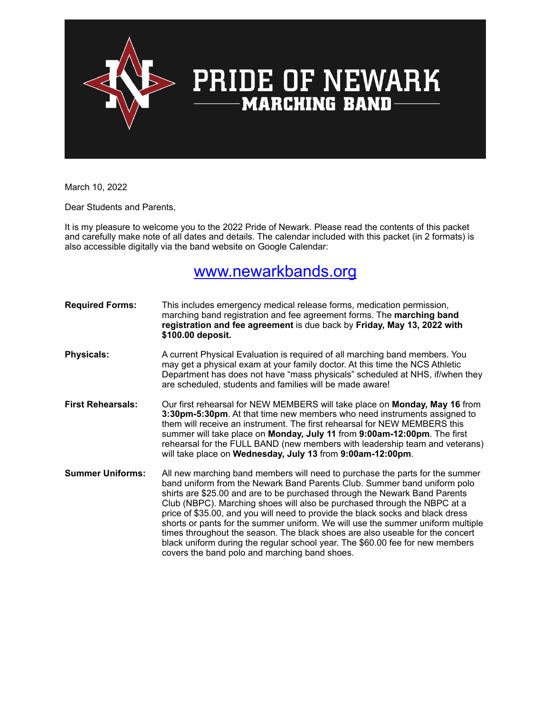

### **PRIDE OF NEWARK MARCHING BAND**

March 10, 2022

Dear Students and Parents,

It is my pleasure to welcome you to the 2022 Pride of Newark. Please read the contents of this packet and carefully make note of all dates and details. The calendar included with this packet (in 2 formats) is also accessible digitally via the band website on Google Calendar:

### [www.newarkbands.org](http://www.newarkbands.org)

**Required Forms:** This includes emergency medical release forms, medication permission, marching band registration and fee agreement forms. The **marching band registration and fee agreement** is due back by **Friday, May 13, 2022 with \$100.00 deposit. Physicals:** A current Physical Evaluation is required of all marching band members. You may get a physical exam at your family doctor. At this time the NCS Athletic Department has does not have "mass physicals" scheduled at NHS, if/when they are scheduled, students and families will be made aware! **First Rehearsals:** Our first rehearsal for NEW MEMBERS will take place on **Monday, May 16** from **3:30pm-5:30pm**. At that time new members who need instruments assigned to them will receive an instrument. The first rehearsal for NEW MEMBERS this summer will take place on **Monday, July 11** from **9:00am-12:00pm**. The first rehearsal for the FULL BAND (new members with leadership team and veterans) will take place on **Wednesday, July 13** from **9:00am-12:00pm**. **Summer Uniforms:** All new marching band members will need to purchase the parts for the summer band uniform from the Newark Band Parents Club. Summer band uniform polo shirts are \$25.00 and are to be purchased through the Newark Band Parents Club (NBPC). Marching shoes will also be purchased through the NBPC at a price of \$35.00, and you will need to provide the black socks and black dress shorts or pants for the summer uniform. We will use the summer uniform multiple times throughout the season. The black shoes are also useable for the concert black uniform during the regular school year. The \$60.00 fee for new members covers the band polo and marching band shoes.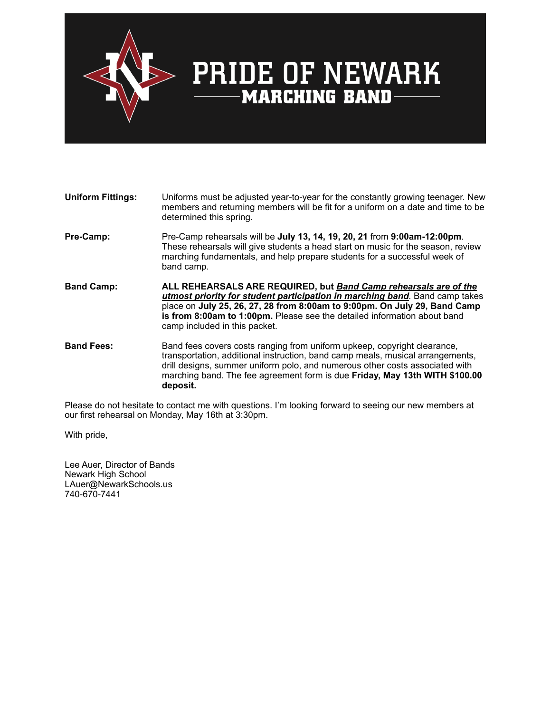

## **PRIDE OF NEWARK**<br>—— MARCHING BAND

#### **Uniform Fittings:** Uniforms must be adjusted year-to-year for the constantly growing teenager. New members and returning members will be fit for a uniform on a date and time to be determined this spring. **Pre-Camp:** Pre-Camp rehearsals will be **July 13, 14, 19, 20, 21** from **9:00am-12:00pm**. These rehearsals will give students a head start on music for the season, review marching fundamentals, and help prepare students for a successful week of band camp. **Band Camp: ALL REHEARSALS ARE REQUIRED, but** *Band Camp rehearsals are of the utmost priority for student participation in marching band.* Band camp takes place on **July 25, 26, 27, 28 from 8:00am to 9:00pm. On July 29, Band Camp is from 8:00am to 1:00pm.** Please see the detailed information about band camp included in this packet. **Band Fees:** Band fees covers costs ranging from uniform upkeep, copyright clearance, transportation, additional instruction, band camp meals, musical arrangements, drill designs, summer uniform polo, and numerous other costs associated with marching band. The fee agreement form is due **Friday, May 13th WITH \$100.00 deposit.**

Please do not hesitate to contact me with questions. I'm looking forward to seeing our new members at our first rehearsal on Monday, May 16th at 3:30pm.

With pride,

Lee Auer, Director of Bands Newark High School LAuer@NewarkSchools.us 740-670-7441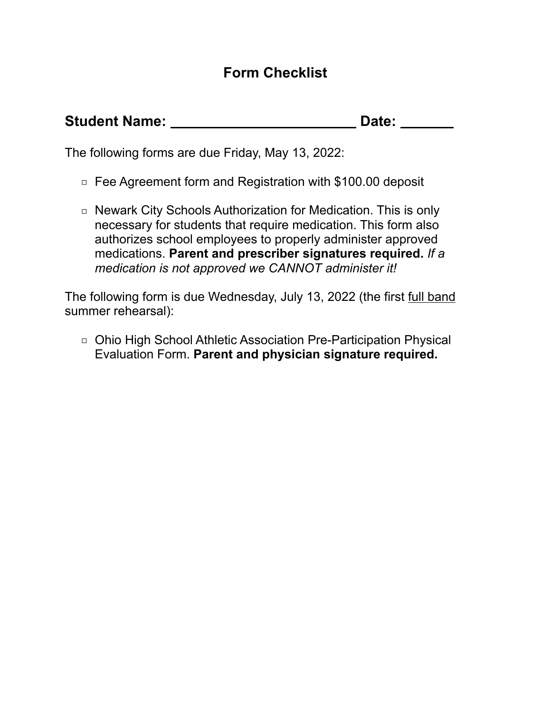### **Form Checklist**

| <b>Student Name:</b> | Date: |  |
|----------------------|-------|--|
|                      |       |  |

The following forms are due Friday, May 13, 2022:

- □ Fee Agreement form and Registration with \$100.00 deposit
- □ Newark City Schools Authorization for Medication. This is only necessary for students that require medication. This form also authorizes school employees to properly administer approved medications. **Parent and prescriber signatures required.** *If a medication is not approved we CANNOT administer it!*

The following form is due Wednesday, July 13, 2022 (the first full band summer rehearsal):

□ Ohio High School Athletic Association Pre-Participation Physical Evaluation Form. **Parent and physician signature required.**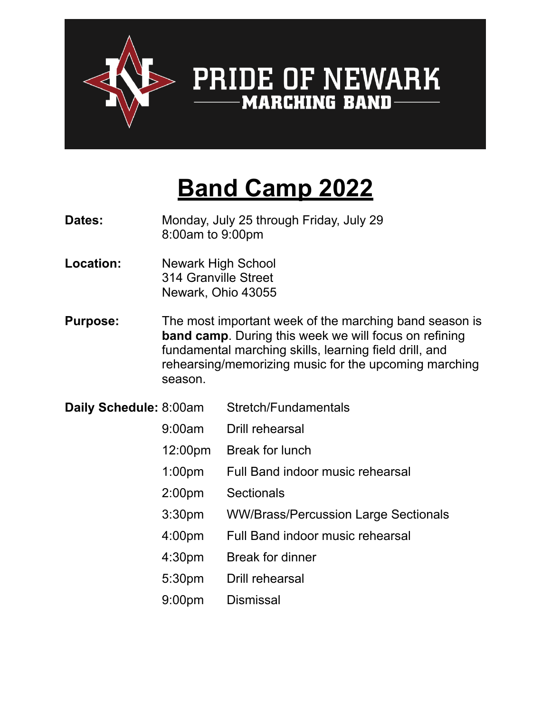

# **PRIDE OF NEWARK**<br><u>----- MARCHING BAND</u>

## **Band Camp 2022**

- **Dates:** Monday, July 25 through Friday, July 29<br>8:00am to 9:00pm
- **Location:** Newark High School 314 Granville Street Newark, Ohio 43055
- **Purpose:** The most important week of the marching band season is **band camp**. During this week we will focus on refining fundamental marching skills, learning field drill, and rehearsing/memorizing music for the upcoming marching season.
- **Daily Schedule:** 8:00am Stretch/Fundamentals
	- 9:00am Drill rehearsal
	- 12:00pm Break for lunch
	- 1:00pm Full Band indoor music rehearsal
	- 2:00pm Sectionals
	- 3:30pm WW/Brass/Percussion Large Sectionals
	- 4:00pm Full Band indoor music rehearsal
	- 4:30pm Break for dinner
	- 5:30pm Drill rehearsal
	- 9:00pm Dismissal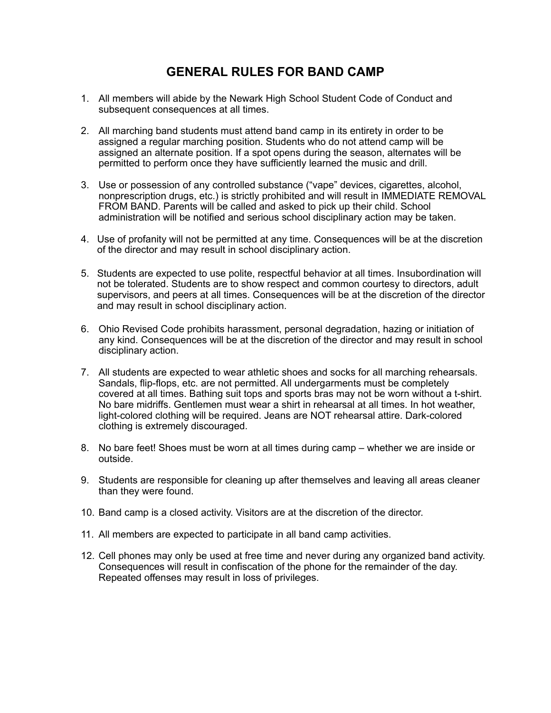### **GENERAL RULES FOR BAND CAMP**

- 1. All members will abide by the Newark High School Student Code of Conduct and subsequent consequences at all times.
- 2. All marching band students must attend band camp in its entirety in order to be assigned a regular marching position. Students who do not attend camp will be assigned an alternate position. If a spot opens during the season, alternates will be permitted to perform once they have sufficiently learned the music and drill.
- 3. Use or possession of any controlled substance ("vape" devices, cigarettes, alcohol, nonprescription drugs, etc.) is strictly prohibited and will result in IMMEDIATE REMOVAL FROM BAND. Parents will be called and asked to pick up their child. School administration will be notified and serious school disciplinary action may be taken.
- 4. Use of profanity will not be permitted at any time. Consequences will be at the discretion of the director and may result in school disciplinary action.
- 5. Students are expected to use polite, respectful behavior at all times. Insubordination will not be tolerated. Students are to show respect and common courtesy to directors, adult supervisors, and peers at all times. Consequences will be at the discretion of the director and may result in school disciplinary action.
- 6. Ohio Revised Code prohibits harassment, personal degradation, hazing or initiation of any kind. Consequences will be at the discretion of the director and may result in school disciplinary action.
- 7. All students are expected to wear athletic shoes and socks for all marching rehearsals. Sandals, flip-flops, etc. are not permitted. All undergarments must be completely covered at all times. Bathing suit tops and sports bras may not be worn without a t-shirt. No bare midriffs. Gentlemen must wear a shirt in rehearsal at all times. In hot weather, light-colored clothing will be required. Jeans are NOT rehearsal attire. Dark-colored clothing is extremely discouraged.
- 8. No bare feet! Shoes must be worn at all times during camp whether we are inside or outside.
- 9. Students are responsible for cleaning up after themselves and leaving all areas cleaner than they were found.
- 10. Band camp is a closed activity. Visitors are at the discretion of the director.
- 11. All members are expected to participate in all band camp activities.
- 12. Cell phones may only be used at free time and never during any organized band activity. Consequences will result in confiscation of the phone for the remainder of the day. Repeated offenses may result in loss of privileges.